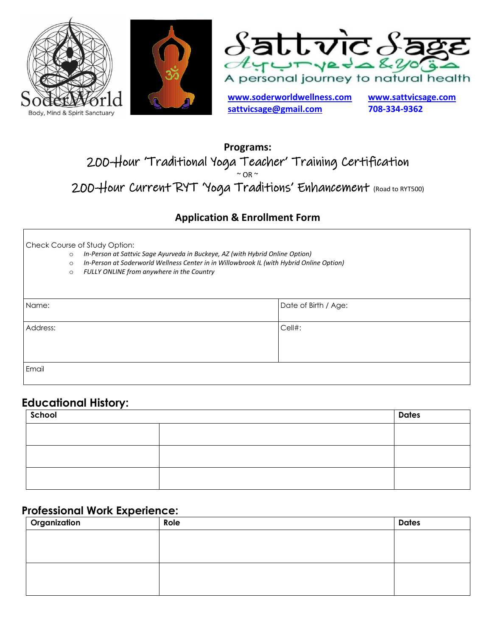





**[www.soderworldwellness.com](http://www.soderworldwellness.com/) [www.sattvicsage.com](http://www.sattvicsage.com/)  [sattvicsage@gmail.com](mailto:sattvicsage@gmail.com) 708-334-9362**

## **Programs:** 200-Hour 'Traditional Yoga Teacher' Training Certification  $\sim$  OR  $\sim$ 200-Hour Current RYT 'Yoga Traditions' Enhancement (Road to RYT500)

# **Application & Enrollment Form**

Check Course of Study Option:

o *In-Person at Sattvic Sage Ayurveda in Buckeye, AZ (with Hybrid Online Option)*

o *In-Person at Soderworld Wellness Center in in Willowbrook IL (with Hybrid Online Option)*

o *FULLY ONLINE from anywhere in the Country*

| Name:    | Date of Birth / Age: |
|----------|----------------------|
| Address: | Cell#:               |
|          |                      |
| Email    |                      |

## **Educational History:**

| School |  | <b>Dates</b> |
|--------|--|--------------|
|        |  |              |
|        |  |              |
|        |  |              |
|        |  |              |
|        |  |              |

## **Professional Work Experience:**

| Organization | Role | <b>Dates</b> |
|--------------|------|--------------|
|              |      |              |
|              |      |              |
|              |      |              |
|              |      |              |
|              |      |              |
|              |      |              |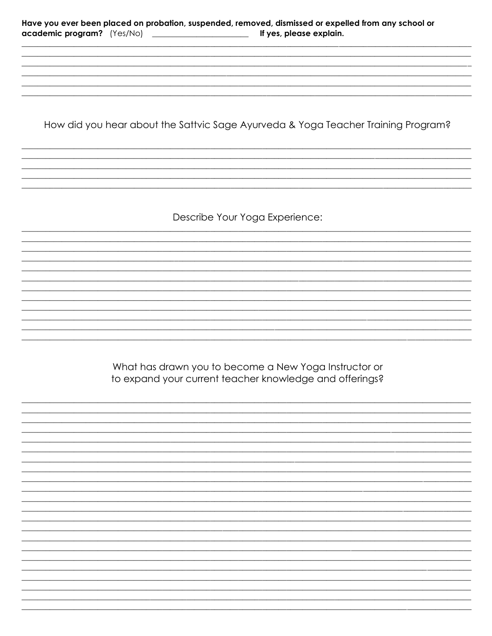| Have you ever been placed on probation, suspended, removed, dismissed or expelled from any school or<br>academic program? (Yes/No) _________________________________ If yes, please explain. |
|----------------------------------------------------------------------------------------------------------------------------------------------------------------------------------------------|
|                                                                                                                                                                                              |
|                                                                                                                                                                                              |
|                                                                                                                                                                                              |
| How did you hear about the Sattvic Sage Ayurveda & Yoga Teacher Training Program?                                                                                                            |
|                                                                                                                                                                                              |
|                                                                                                                                                                                              |
|                                                                                                                                                                                              |
| Describe Your Yoga Experience:                                                                                                                                                               |
|                                                                                                                                                                                              |
|                                                                                                                                                                                              |
|                                                                                                                                                                                              |
|                                                                                                                                                                                              |
|                                                                                                                                                                                              |
|                                                                                                                                                                                              |
|                                                                                                                                                                                              |
| What has drawn you to become a New Yoga Instructor or<br>to expand your current teacher knowledge and offerings?                                                                             |
|                                                                                                                                                                                              |
|                                                                                                                                                                                              |
|                                                                                                                                                                                              |
|                                                                                                                                                                                              |
|                                                                                                                                                                                              |
|                                                                                                                                                                                              |
|                                                                                                                                                                                              |
|                                                                                                                                                                                              |
|                                                                                                                                                                                              |
|                                                                                                                                                                                              |
|                                                                                                                                                                                              |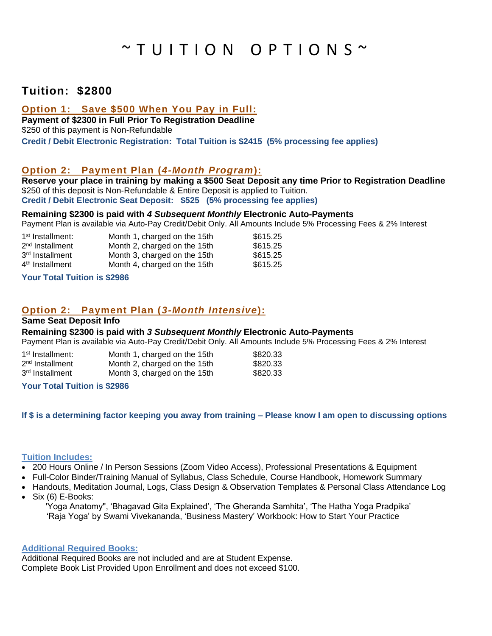# $~\sim$  T U I T I O N O P T I O N S  $\sim$

## **Tuition: \$2800**

### **Option 1: Save \$500 When You Pay in Full:**

**Payment of \$2300 in Full Prior To Registration Deadline** \$250 of this payment is Non-Refundable **Credit / Debit Electronic Registration: Total Tuition is \$2415 (5% processing fee applies)**

### **Option 2: Payment Plan (***4-Month Program***):**

**Reserve your place in training by making a \$500 Seat Deposit any time Prior to Registration Deadline** \$250 of this deposit is Non-Refundable & Entire Deposit is applied to Tuition. **Credit / Debit Electronic Seat Deposit: \$525 (5% processing fee applies)**

#### **Remaining \$2300 is paid with** *4 Subsequent Monthly* **Electronic Auto-Payments**

Payment Plan is available via Auto-Pay Credit/Debit Only. All Amounts Include 5% Processing Fees & 2% Interest

| 1 <sup>st</sup> Installment: | Month 1, charged on the 15th | \$615.25 |
|------------------------------|------------------------------|----------|
| 2 <sup>nd</sup> Installment  | Month 2, charged on the 15th | \$615.25 |
| 3 <sup>rd</sup> Installment  | Month 3, charged on the 15th | \$615.25 |
| 4 <sup>th</sup> Installment  | Month 4, charged on the 15th | \$615.25 |
|                              |                              |          |

**Your Total Tuition is \$2986**

## **Option 2: Payment Plan (***3-Month Intensive***):**

#### **Same Seat Deposit Info**

**Remaining \$2300 is paid with** *3 Subsequent Monthly* **Electronic Auto-Payments** Payment Plan is available via Auto-Pay Credit/Debit Only. All Amounts Include 5% Processing Fees & 2% Interest d et ligatelling on the  $M$ onth 1, charged on the 15th  $8820.33$ 

| T <sup>o</sup> installment. | <b>NOTION 1, Criarged On the Total</b> | മഠ∠∪.ാാ  |
|-----------------------------|----------------------------------------|----------|
| 2 <sup>nd</sup> Installment | Month 2, charged on the 15th           | \$820.33 |
| 3 <sup>rd</sup> Installment | Month 3, charged on the 15th           | \$820.33 |
|                             |                                        |          |

#### **Your Total Tuition is \$2986**

#### **If \$ is a determining factor keeping you away from training – Please know I am open to discussing options**

#### **Tuition Includes:**

- 200 Hours Online / In Person Sessions (Zoom Video Access), Professional Presentations & Equipment
- Full-Color Binder/Training Manual of Syllabus, Class Schedule, Course Handbook, Homework Summary
- Handouts, Meditation Journal, Logs, Class Design & Observation Templates & Personal Class Attendance Log
- Six (6) E-Books:
	- 'Yoga Anatomy", 'Bhagavad Gita Explained', 'The Gheranda Samhita', 'The Hatha Yoga Pradpika' 'Raja Yoga' by Swami Vivekananda, 'Business Mastery' Workbook: How to Start Your Practice

## **Additional Required Books:**

Additional Required Books are not included and are at Student Expense. Complete Book List Provided Upon Enrollment and does not exceed \$100.